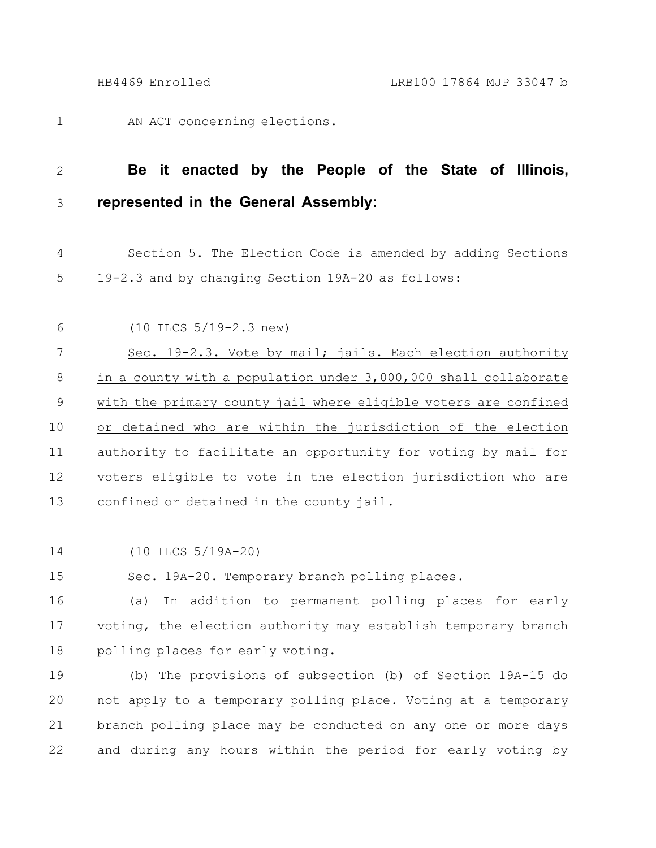AN ACT concerning elections. 1

## **Be it enacted by the People of the State of Illinois, represented in the General Assembly:** 2 3

Section 5. The Election Code is amended by adding Sections 19-2.3 and by changing Section 19A-20 as follows: 4 5

- (10 ILCS 5/19-2.3 new) Sec. 19-2.3. Vote by mail; jails. Each election authority in a county with a population under 3,000,000 shall collaborate with the primary county jail where eligible voters are confined or detained who are within the jurisdiction of the election authority to facilitate an opportunity for voting by mail for voters eligible to vote in the election jurisdiction who are confined or detained in the county jail. 6 7 8 9 10 11 12 13
- (10 ILCS 5/19A-20) 14

Sec. 19A-20. Temporary branch polling places. 15

(a) In addition to permanent polling places for early voting, the election authority may establish temporary branch polling places for early voting. 16 17 18

(b) The provisions of subsection (b) of Section 19A-15 do not apply to a temporary polling place. Voting at a temporary branch polling place may be conducted on any one or more days and during any hours within the period for early voting by 19 20 21 22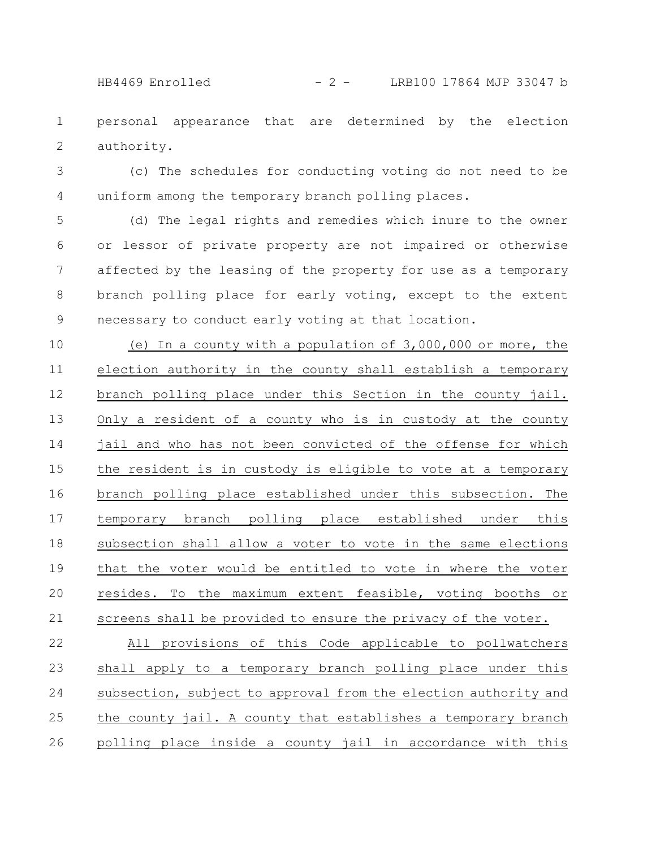personal appearance that are determined by the election authority. 1 2

(c) The schedules for conducting voting do not need to be uniform among the temporary branch polling places. 3 4

(d) The legal rights and remedies which inure to the owner or lessor of private property are not impaired or otherwise affected by the leasing of the property for use as a temporary branch polling place for early voting, except to the extent necessary to conduct early voting at that location. 5 6 7 8 9

(e) In a county with a population of 3,000,000 or more, the election authority in the county shall establish a temporary branch polling place under this Section in the county jail. Only a resident of a county who is in custody at the county jail and who has not been convicted of the offense for which the resident is in custody is eligible to vote at a temporary branch polling place established under this subsection. The temporary branch polling place established under this subsection shall allow a voter to vote in the same elections that the voter would be entitled to vote in where the voter resides. To the maximum extent feasible, voting booths or screens shall be provided to ensure the privacy of the voter. 10 11 12 13 14 15 16 17 18 19 20 21

All provisions of this Code applicable to pollwatchers shall apply to a temporary branch polling place under this subsection, subject to approval from the election authority and the county jail. A county that establishes a temporary branch polling place inside a county jail in accordance with this 22 23 24 25 26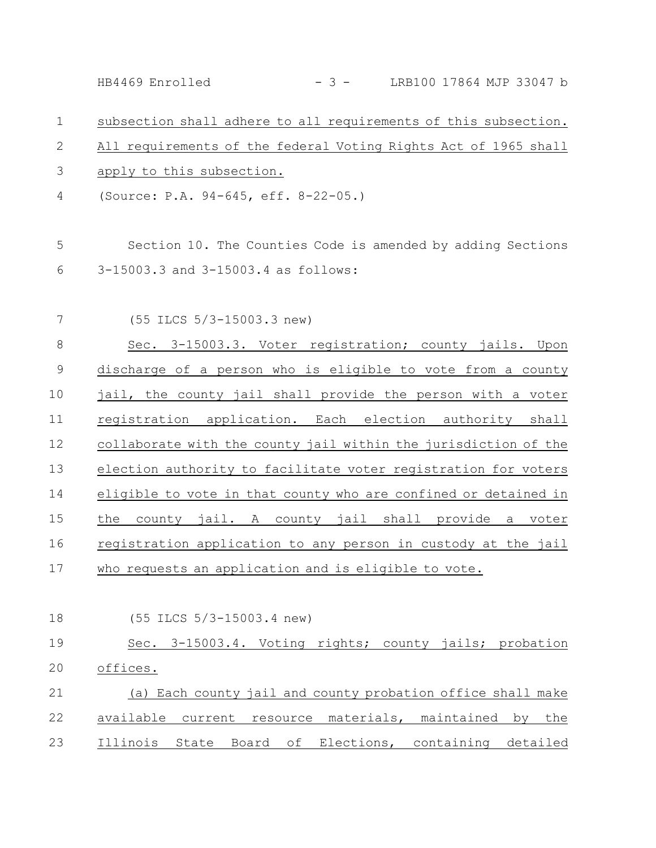subsection shall adhere to all requirements of this subsection. All requirements of the federal Voting Rights Act of 1965 shall apply to this subsection. (Source: P.A. 94-645, eff. 8-22-05.) Section 10. The Counties Code is amended by adding Sections 3-15003.3 and 3-15003.4 as follows: (55 ILCS 5/3-15003.3 new) Sec. 3-15003.3. Voter registration; county jails. Upon discharge of a person who is eligible to vote from a county jail, the county jail shall provide the person with a voter registration application. Each election authority shall collaborate with the county jail within the jurisdiction of the election authority to facilitate voter registration for voters eligible to vote in that county who are confined or detained in the county jail. A county jail shall provide a voter registration application to any person in custody at the jail who requests an application and is eligible to vote. (55 ILCS 5/3-15003.4 new) Sec. 3-15003.4. Voting rights; county jails; probation offices. (a) Each county jail and county probation office shall make available current resource materials, maintained by the Illinois State Board of Elections, containing detailed 1 2 3 4 5 6 7 8 9 10 11 12 13 14 15 16 17 18 19 20 21 22 23 HB4469 Enrolled - 3 - LRB100 17864 MJP 33047 b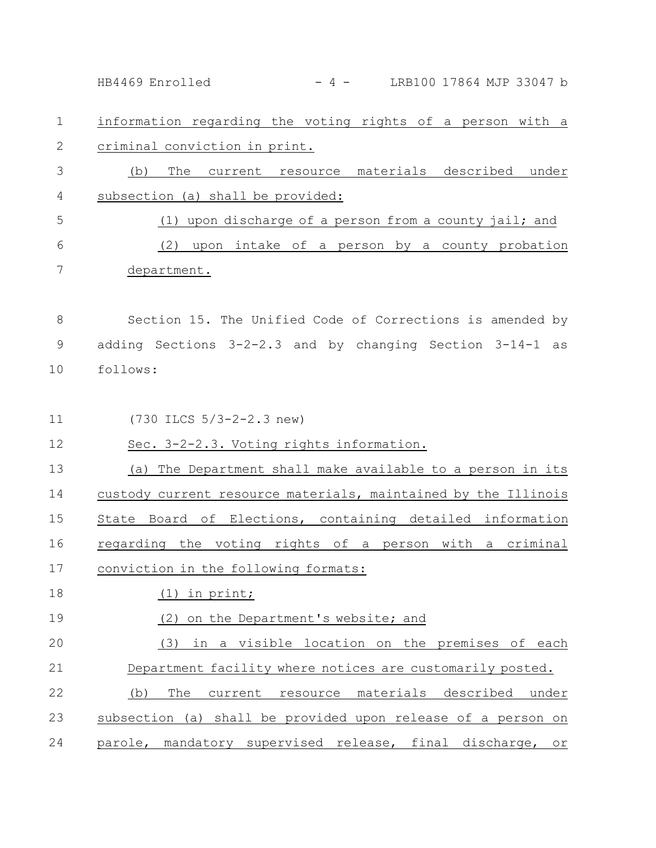information regarding the voting rights of a person with a criminal conviction in print. (b) The current resource materials described under subsection (a) shall be provided: (1) upon discharge of a person from a county jail; and (2) upon intake of a person by a county probation department. Section 15. The Unified Code of Corrections is amended by adding Sections 3-2-2.3 and by changing Section 3-14-1 as follows: (730 ILCS 5/3-2-2.3 new) Sec. 3-2-2.3. Voting rights information. (a) The Department shall make available to a person in its custody current resource materials, maintained by the Illinois State Board of Elections, containing detailed information regarding the voting rights of a person with a criminal conviction in the following formats: (1) in print; (2) on the Department's website; and (3) in a visible location on the premises of each Department facility where notices are customarily posted. (b) The current resource materials described under subsection (a) shall be provided upon release of a person on parole, mandatory supervised release, final discharge, or 1 2 3 4 5 6 7 8 9 10 11 12 13 14 15 16 17 18 19 20 21 22 23 24 HB4469 Enrolled - 4 - LRB100 17864 MJP 33047 b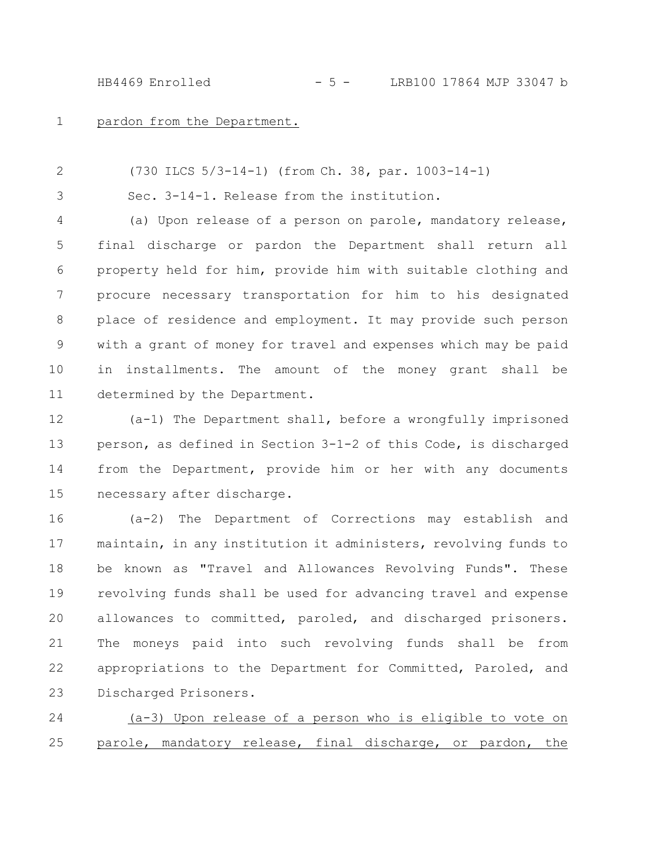HB4469 Enrolled - 5 - LRB100 17864 MJP 33047 b

pardon from the Department. 1

(730 ILCS 5/3-14-1) (from Ch. 38, par. 1003-14-1) 2

Sec. 3-14-1. Release from the institution. 3

(a) Upon release of a person on parole, mandatory release, final discharge or pardon the Department shall return all property held for him, provide him with suitable clothing and procure necessary transportation for him to his designated place of residence and employment. It may provide such person with a grant of money for travel and expenses which may be paid in installments. The amount of the money grant shall be determined by the Department. 4 5 6 7 8 9 10 11

(a-1) The Department shall, before a wrongfully imprisoned person, as defined in Section 3-1-2 of this Code, is discharged from the Department, provide him or her with any documents necessary after discharge. 12 13 14 15

(a-2) The Department of Corrections may establish and maintain, in any institution it administers, revolving funds to be known as "Travel and Allowances Revolving Funds". These revolving funds shall be used for advancing travel and expense allowances to committed, paroled, and discharged prisoners. The moneys paid into such revolving funds shall be from appropriations to the Department for Committed, Paroled, and Discharged Prisoners. 16 17 18 19 20 21 22 23

(a-3) Upon release of a person who is eligible to vote on parole, mandatory release, final discharge, or pardon, the 24 25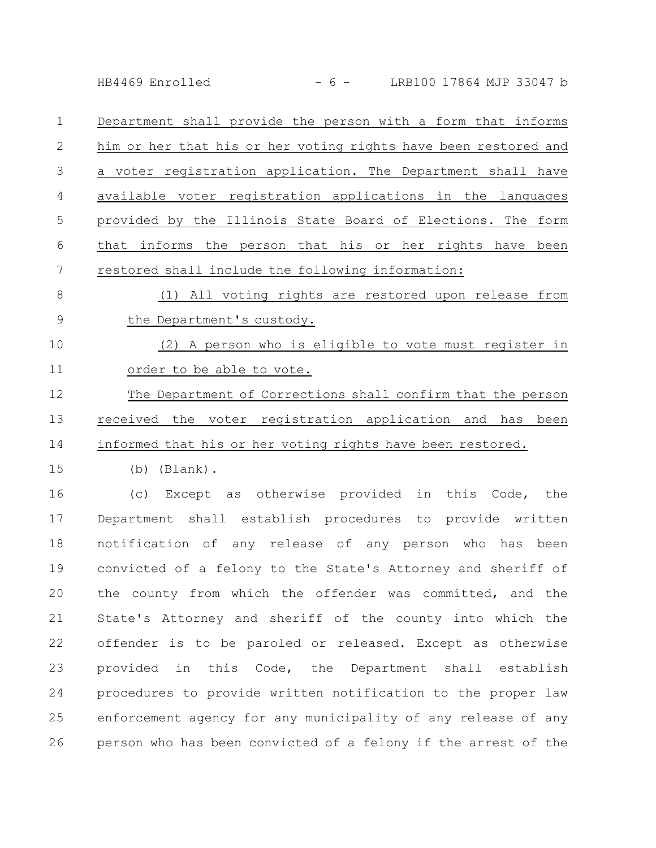HB4469 Enrolled - 6 - LRB100 17864 MJP 33047 b

Department shall provide the person with a form that informs him or her that his or her voting rights have been restored and a voter registration application. The Department shall have available voter registration applications in the languages provided by the Illinois State Board of Elections. The form that informs the person that his or her rights have been restored shall include the following information: 1 2 3 4 5 6 7

(1) All voting rights are restored upon release from the Department's custody. 8 9

(2) A person who is eligible to vote must register in order to be able to vote. 10 11

The Department of Corrections shall confirm that the person received the voter registration application and has been informed that his or her voting rights have been restored. 12 13 14

(b) (Blank). 15

(c) Except as otherwise provided in this Code, the Department shall establish procedures to provide written notification of any release of any person who has been convicted of a felony to the State's Attorney and sheriff of the county from which the offender was committed, and the State's Attorney and sheriff of the county into which the offender is to be paroled or released. Except as otherwise provided in this Code, the Department shall establish procedures to provide written notification to the proper law enforcement agency for any municipality of any release of any person who has been convicted of a felony if the arrest of the 16 17 18 19 20 21 22 23 24 25 26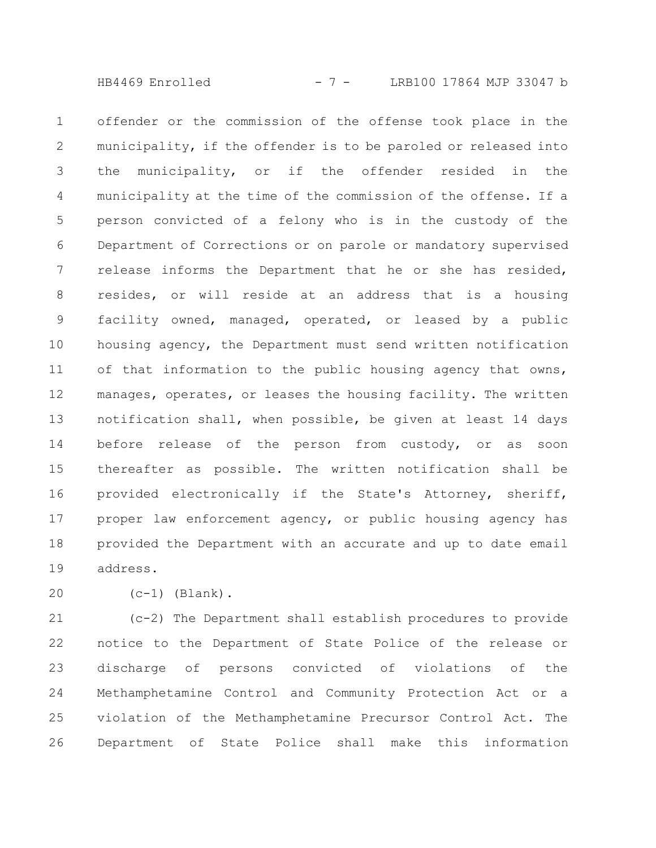HB4469 Enrolled - 7 - LRB100 17864 MJP 33047 b

offender or the commission of the offense took place in the municipality, if the offender is to be paroled or released into the municipality, or if the offender resided in the municipality at the time of the commission of the offense. If a person convicted of a felony who is in the custody of the Department of Corrections or on parole or mandatory supervised release informs the Department that he or she has resided, resides, or will reside at an address that is a housing facility owned, managed, operated, or leased by a public housing agency, the Department must send written notification of that information to the public housing agency that owns, manages, operates, or leases the housing facility. The written notification shall, when possible, be given at least 14 days before release of the person from custody, or as soon thereafter as possible. The written notification shall be provided electronically if the State's Attorney, sheriff, proper law enforcement agency, or public housing agency has provided the Department with an accurate and up to date email address. 1 2 3 4 5 6 7 8 9 10 11 12 13 14 15 16 17 18 19

20

 $(c-1)$  (Blank).

(c-2) The Department shall establish procedures to provide notice to the Department of State Police of the release or discharge of persons convicted of violations of the Methamphetamine Control and Community Protection Act or a violation of the Methamphetamine Precursor Control Act. The Department of State Police shall make this information 21 22 23 24 25 26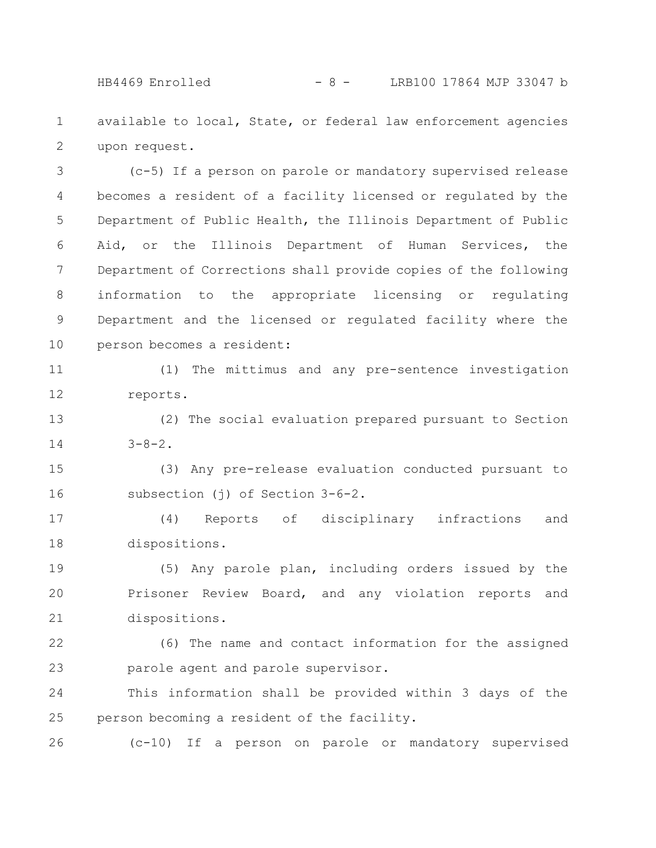HB4469 Enrolled - 8 - LRB100 17864 MJP 33047 b

available to local, State, or federal law enforcement agencies upon request. 1 2

(c-5) If a person on parole or mandatory supervised release becomes a resident of a facility licensed or regulated by the Department of Public Health, the Illinois Department of Public Aid, or the Illinois Department of Human Services, the Department of Corrections shall provide copies of the following information to the appropriate licensing or regulating Department and the licensed or regulated facility where the person becomes a resident: 3 4 5 6 7 8 9 10

(1) The mittimus and any pre-sentence investigation reports. 11 12

(2) The social evaluation prepared pursuant to Section  $3 - 8 - 2$ . 13 14

(3) Any pre-release evaluation conducted pursuant to subsection (j) of Section 3-6-2. 15 16

(4) Reports of disciplinary infractions and dispositions. 17 18

(5) Any parole plan, including orders issued by the Prisoner Review Board, and any violation reports and dispositions. 19 20 21

(6) The name and contact information for the assigned parole agent and parole supervisor. 22 23

This information shall be provided within 3 days of the person becoming a resident of the facility. 24 25

(c-10) If a person on parole or mandatory supervised 26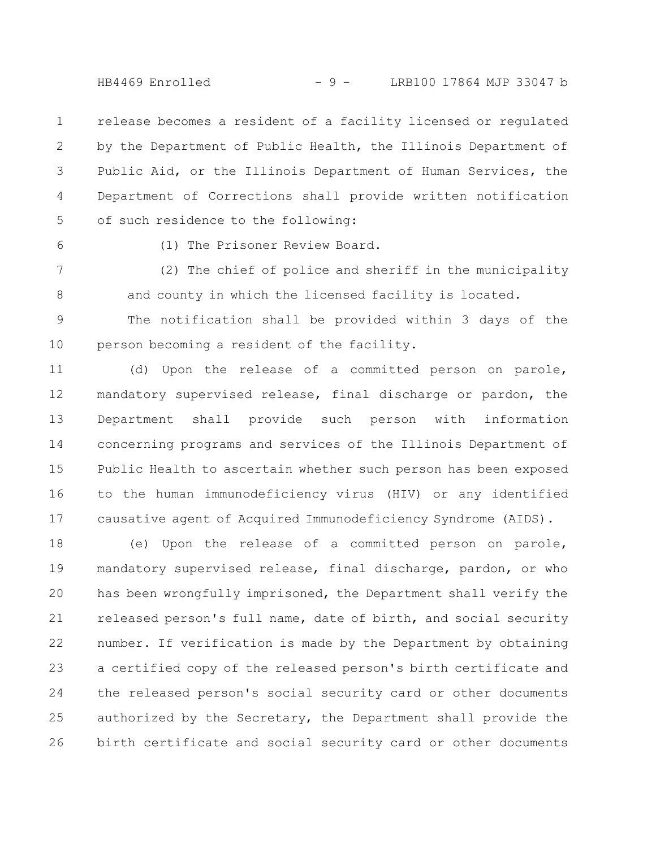HB4469 Enrolled - 9 - LRB100 17864 MJP 33047 b

release becomes a resident of a facility licensed or regulated by the Department of Public Health, the Illinois Department of Public Aid, or the Illinois Department of Human Services, the Department of Corrections shall provide written notification of such residence to the following: 1 2 3 4 5

6

(1) The Prisoner Review Board.

(2) The chief of police and sheriff in the municipality and county in which the licensed facility is located. 7 8

The notification shall be provided within 3 days of the person becoming a resident of the facility. 9 10

(d) Upon the release of a committed person on parole, mandatory supervised release, final discharge or pardon, the Department shall provide such person with information concerning programs and services of the Illinois Department of Public Health to ascertain whether such person has been exposed to the human immunodeficiency virus (HIV) or any identified causative agent of Acquired Immunodeficiency Syndrome (AIDS). 11 12 13 14 15 16 17

(e) Upon the release of a committed person on parole, mandatory supervised release, final discharge, pardon, or who has been wrongfully imprisoned, the Department shall verify the released person's full name, date of birth, and social security number. If verification is made by the Department by obtaining a certified copy of the released person's birth certificate and the released person's social security card or other documents authorized by the Secretary, the Department shall provide the birth certificate and social security card or other documents 18 19 20 21 22 23 24 25 26